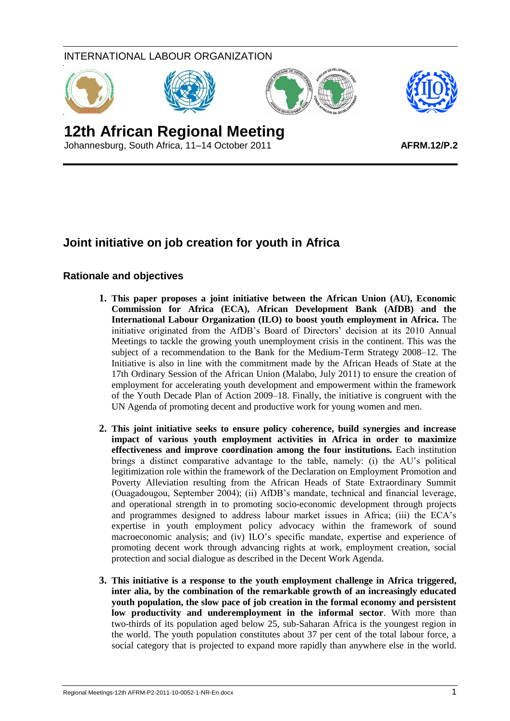# INTERNATIONAL LABOUR ORGANIZATION







# **12th African Regional Meeting**

Johannesburg, South Africa, 11–14 October 2011

# **Joint initiative on job creation for youth in Africa**

## **Rationale and objectives**

- **1. This paper proposes a joint initiative between the African Union (AU), Economic Commission for Africa (ECA), African Development Bank (AfDB) and the International Labour Organization (ILO) to boost youth employment in Africa.** The initiative originated from the AfDB's Board of Directors' decision at its 2010 Annual Meetings to tackle the growing youth unemployment crisis in the continent. This was the subject of a recommendation to the Bank for the Medium-Term Strategy 2008–12. The Initiative is also in line with the commitment made by the African Heads of State at the 17th Ordinary Session of the African Union (Malabo, July 2011) to ensure the creation of employment for accelerating youth development and empowerment within the framework of the Youth Decade Plan of Action 2009–18. Finally, the initiative is congruent with the UN Agenda of promoting decent and productive work for young women and men.
- **2. This joint initiative seeks to ensure policy coherence, build synergies and increase impact of various youth employment activities in Africa in order to maximize effectiveness and improve coordination among the four institutions.** Each institution brings a distinct comparative advantage to the table, namely: (i) the AU's political legitimization role within the framework of the Declaration on Employment Promotion and Poverty Alleviation resulting from the African Heads of State Extraordinary Summit (Ouagadougou, September 2004); (ii) AfDB's mandate, technical and financial leverage, and operational strength in to promoting socio-economic development through projects and programmes designed to address labour market issues in Africa; (iii) the ECA's expertise in youth employment policy advocacy within the framework of sound macroeconomic analysis; and (iv) ILO's specific mandate, expertise and experience of promoting decent work through advancing rights at work, employment creation, social protection and social dialogue as described in the Decent Work Agenda.
- **3. This initiative is a response to the youth employment challenge in Africa triggered, inter alia, by the combination of the remarkable growth of an increasingly educated youth population, the slow pace of job creation in the formal economy and persistent low productivity and underemployment in the informal sector**. With more than two-thirds of its population aged below 25, sub-Saharan Africa is the youngest region in the world. The youth population constitutes about 37 per cent of the total labour force, a social category that is projected to expand more rapidly than anywhere else in the world.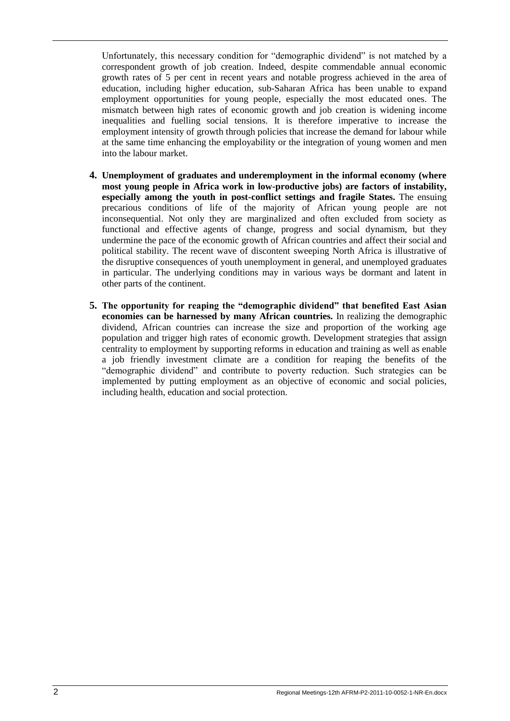Unfortunately, this necessary condition for "demographic dividend" is not matched by a correspondent growth of job creation. Indeed, despite commendable annual economic growth rates of 5 per cent in recent years and notable progress achieved in the area of education, including higher education, sub-Saharan Africa has been unable to expand employment opportunities for young people, especially the most educated ones. The mismatch between high rates of economic growth and job creation is widening income inequalities and fuelling social tensions. It is therefore imperative to increase the employment intensity of growth through policies that increase the demand for labour while at the same time enhancing the employability or the integration of young women and men into the labour market.

- **4. Unemployment of graduates and underemployment in the informal economy (where most young people in Africa work in low-productive jobs) are factors of instability, especially among the youth in post-conflict settings and fragile States.** The ensuing precarious conditions of life of the majority of African young people are not inconsequential. Not only they are marginalized and often excluded from society as functional and effective agents of change, progress and social dynamism, but they undermine the pace of the economic growth of African countries and affect their social and political stability. The recent wave of discontent sweeping North Africa is illustrative of the disruptive consequences of youth unemployment in general, and unemployed graduates in particular. The underlying conditions may in various ways be dormant and latent in other parts of the continent.
- **5. The opportunity for reaping the "demographic dividend" that benefited East Asian economies can be harnessed by many African countries.** In realizing the demographic dividend, African countries can increase the size and proportion of the working age population and trigger high rates of economic growth. Development strategies that assign centrality to employment by supporting reforms in education and training as well as enable a job friendly investment climate are a condition for reaping the benefits of the "demographic dividend" and contribute to poverty reduction. Such strategies can be implemented by putting employment as an objective of economic and social policies, including health, education and social protection.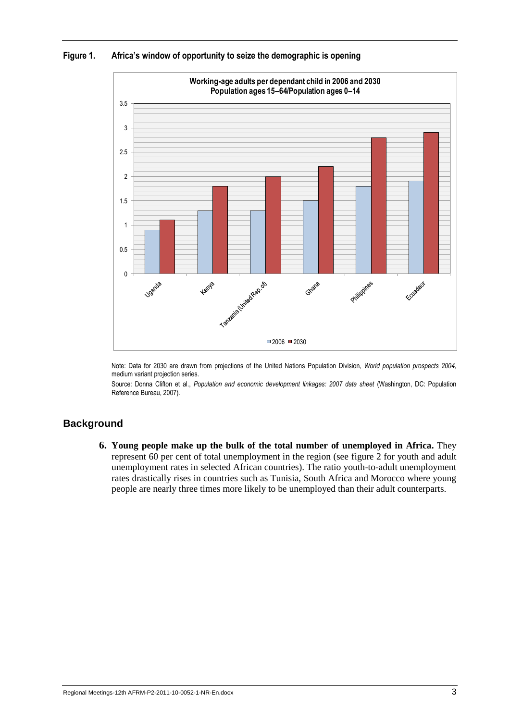



Note: Data for 2030 are drawn from projections of the United Nations Population Division, *World population prospects 2004*, medium variant projection series.

Source: Donna Clifton et al., *Population and economic development linkages: 2007 data sheet* (Washington, DC: Population Reference Bureau, 2007).

#### **Background**

**6. Young people make up the bulk of the total number of unemployed in Africa.** They represent 60 per cent of total unemployment in the region (see figure 2 for youth and adult unemployment rates in selected African countries). The ratio youth-to-adult unemployment rates drastically rises in countries such as Tunisia, South Africa and Morocco where young people are nearly three times more likely to be unemployed than their adult counterparts.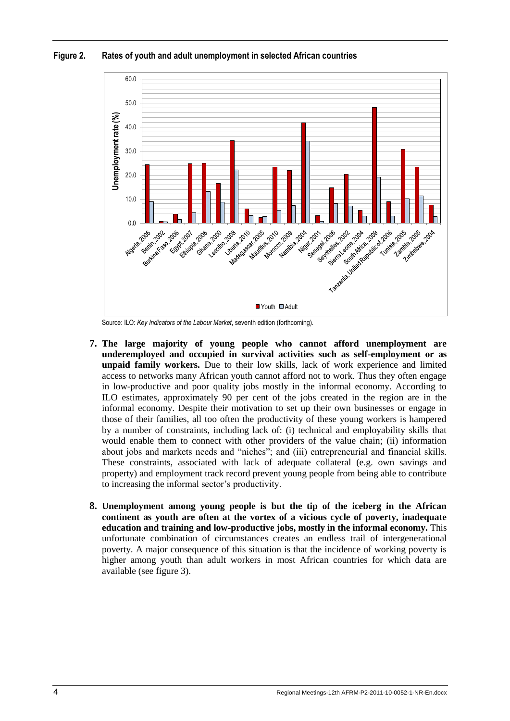



Source: ILO: *Key Indicators of the Labour Market*, seventh edition (forthcoming).

- **7. The large majority of young people who cannot afford unemployment are underemployed and occupied in survival activities such as self-employment or as unpaid family workers.** Due to their low skills, lack of work experience and limited access to networks many African youth cannot afford not to work. Thus they often engage in low-productive and poor quality jobs mostly in the informal economy. According to ILO estimates, approximately 90 per cent of the jobs created in the region are in the informal economy. Despite their motivation to set up their own businesses or engage in those of their families, all too often the productivity of these young workers is hampered by a number of constraints, including lack of: (i) technical and employability skills that would enable them to connect with other providers of the value chain; (ii) information about jobs and markets needs and "niches"; and (iii) entrepreneurial and financial skills. These constraints, associated with lack of adequate collateral (e.g. own savings and property) and employment track record prevent young people from being able to contribute to increasing the informal sector's productivity.
- **8. Unemployment among young people is but the tip of the iceberg in the African continent as youth are often at the vortex of a vicious cycle of poverty, inadequate education and training and low-productive jobs, mostly in the informal economy.** This unfortunate combination of circumstances creates an endless trail of intergenerational poverty. A major consequence of this situation is that the incidence of working poverty is higher among youth than adult workers in most African countries for which data are available (see figure 3).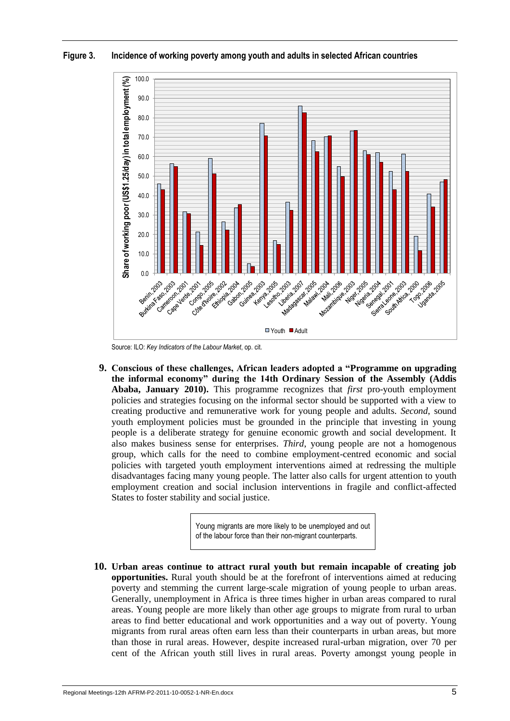

**Figure 3. Incidence of working poverty among youth and adults in selected African countries**

Source: ILO: *Key Indicators of the Labour Market*, op. cit.

**9. Conscious of these challenges, African leaders adopted a "Programme on upgrading the informal economy" during the 14th Ordinary Session of the Assembly (Addis Ababa, January 2010).** This programme recognizes that *first* pro-youth employment policies and strategies focusing on the informal sector should be supported with a view to creating productive and remunerative work for young people and adults. *Second*, sound youth employment policies must be grounded in the principle that investing in young people is a deliberate strategy for genuine economic growth and social development. It also makes business sense for enterprises. *Third*, young people are not a homogenous group, which calls for the need to combine employment-centred economic and social policies with targeted youth employment interventions aimed at redressing the multiple disadvantages facing many young people. The latter also calls for urgent attention to youth employment creation and social inclusion interventions in fragile and conflict-affected States to foster stability and social justice.

> Young migrants are more likely to be unemployed and out of the labour force than their non-migrant counterparts.

**10. Urban areas continue to attract rural youth but remain incapable of creating job opportunities.** Rural youth should be at the forefront of interventions aimed at reducing poverty and stemming the current large-scale migration of young people to urban areas. Generally, unemployment in Africa is three times higher in urban areas compared to rural areas. Young people are more likely than other age groups to migrate from rural to urban areas to find better educational and work opportunities and a way out of poverty. Young migrants from rural areas often earn less than their counterparts in urban areas, but more than those in rural areas. However, despite increased rural-urban migration, over 70 per cent of the African youth still lives in rural areas. Poverty amongst young people in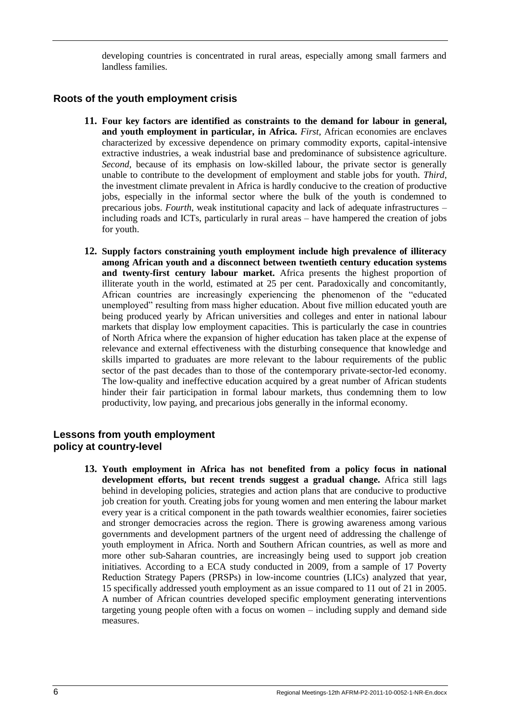developing countries is concentrated in rural areas, especially among small farmers and landless families.

#### **Roots of the youth employment crisis**

- **11. Four key factors are identified as constraints to the demand for labour in general, and youth employment in particular, in Africa.** *First,* African economies are enclaves characterized by excessive dependence on primary commodity exports, capital-intensive extractive industries, a weak industrial base and predominance of subsistence agriculture. *Second,* because of its emphasis on low-skilled labour, the private sector is generally unable to contribute to the development of employment and stable jobs for youth. *Third*, the investment climate prevalent in Africa is hardly conducive to the creation of productive jobs, especially in the informal sector where the bulk of the youth is condemned to precarious jobs. *Fourth*, weak institutional capacity and lack of adequate infrastructures – including roads and ICTs, particularly in rural areas – have hampered the creation of jobs for youth.
- **12. Supply factors constraining youth employment include high prevalence of illiteracy among African youth and a disconnect between twentieth century education systems and twenty-first century labour market.** Africa presents the highest proportion of illiterate youth in the world, estimated at 25 per cent. Paradoxically and concomitantly, African countries are increasingly experiencing the phenomenon of the "educated unemployed" resulting from mass higher education. About five million educated youth are being produced yearly by African universities and colleges and enter in national labour markets that display low employment capacities. This is particularly the case in countries of North Africa where the expansion of higher education has taken place at the expense of relevance and external effectiveness with the disturbing consequence that knowledge and skills imparted to graduates are more relevant to the labour requirements of the public sector of the past decades than to those of the contemporary private-sector-led economy. The low-quality and ineffective education acquired by a great number of African students hinder their fair participation in formal labour markets, thus condemning them to low productivity, low paying, and precarious jobs generally in the informal economy.

#### **Lessons from youth employment policy at country-level**

**13. Youth employment in Africa has not benefited from a policy focus in national development efforts, but recent trends suggest a gradual change.** Africa still lags behind in developing policies, strategies and action plans that are conducive to productive job creation for youth. Creating jobs for young women and men entering the labour market every year is a critical component in the path towards wealthier economies, fairer societies and stronger democracies across the region. There is growing awareness among various governments and development partners of the urgent need of addressing the challenge of youth employment in Africa. North and Southern African countries, as well as more and more other sub-Saharan countries, are increasingly being used to support job creation initiatives. According to a ECA study conducted in 2009, from a sample of 17 Poverty Reduction Strategy Papers (PRSPs) in low-income countries (LICs) analyzed that year, 15 specifically addressed youth employment as an issue compared to 11 out of 21 in 2005. A number of African countries developed specific employment generating interventions targeting young people often with a focus on women – including supply and demand side measures.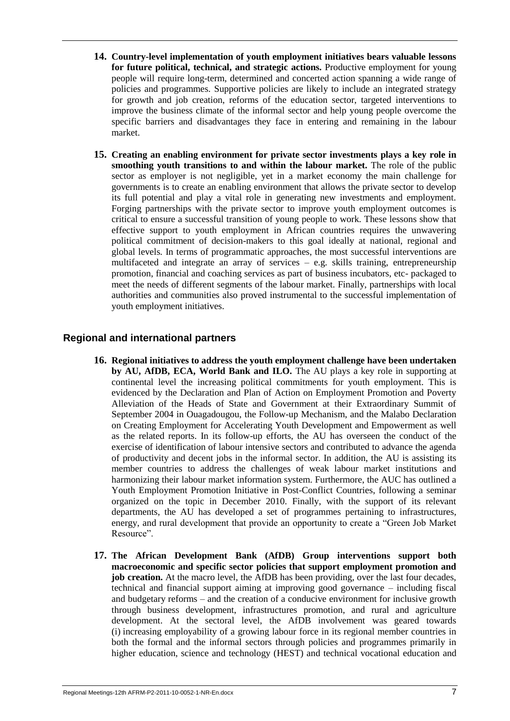- **14. Country-level implementation of youth employment initiatives bears valuable lessons for future political, technical, and strategic actions.** Productive employment for young people will require long-term, determined and concerted action spanning a wide range of policies and programmes. Supportive policies are likely to include an integrated strategy for growth and job creation, reforms of the education sector, targeted interventions to improve the business climate of the informal sector and help young people overcome the specific barriers and disadvantages they face in entering and remaining in the labour market.
- **15. Creating an enabling environment for private sector investments plays a key role in smoothing youth transitions to and within the labour market.** The role of the public sector as employer is not negligible, yet in a market economy the main challenge for governments is to create an enabling environment that allows the private sector to develop its full potential and play a vital role in generating new investments and employment. Forging partnerships with the private sector to improve youth employment outcomes is critical to ensure a successful transition of young people to work. These lessons show that effective support to youth employment in African countries requires the unwavering political commitment of decision-makers to this goal ideally at national, regional and global levels. In terms of programmatic approaches, the most successful interventions are multifaceted and integrate an array of services – e.g. skills training, entrepreneurship promotion, financial and coaching services as part of business incubators, etc- packaged to meet the needs of different segments of the labour market. Finally, partnerships with local authorities and communities also proved instrumental to the successful implementation of youth employment initiatives.

## **Regional and international partners**

- **16. Regional initiatives to address the youth employment challenge have been undertaken by AU, AfDB, ECA, World Bank and ILO.** The AU plays a key role in supporting at continental level the increasing political commitments for youth employment. This is evidenced by the Declaration and Plan of Action on Employment Promotion and Poverty Alleviation of the Heads of State and Government at their Extraordinary Summit of September 2004 in Ouagadougou, the Follow-up Mechanism, and the Malabo Declaration on Creating Employment for Accelerating Youth Development and Empowerment as well as the related reports. In its follow-up efforts, the AU has overseen the conduct of the exercise of identification of labour intensive sectors and contributed to advance the agenda of productivity and decent jobs in the informal sector. In addition, the AU is assisting its member countries to address the challenges of weak labour market institutions and harmonizing their labour market information system. Furthermore, the AUC has outlined a Youth Employment Promotion Initiative in Post-Conflict Countries, following a seminar organized on the topic in December 2010. Finally, with the support of its relevant departments, the AU has developed a set of programmes pertaining to infrastructures, energy, and rural development that provide an opportunity to create a "Green Job Market Resource".
- **17. The African Development Bank (AfDB) Group interventions support both macroeconomic and specific sector policies that support employment promotion and job creation.** At the macro level, the AfDB has been providing, over the last four decades, technical and financial support aiming at improving good governance – including fiscal and budgetary reforms – and the creation of a conducive environment for inclusive growth through business development, infrastructures promotion, and rural and agriculture development. At the sectoral level, the AfDB involvement was geared towards (i) increasing employability of a growing labour force in its regional member countries in both the formal and the informal sectors through policies and programmes primarily in higher education, science and technology (HEST) and technical vocational education and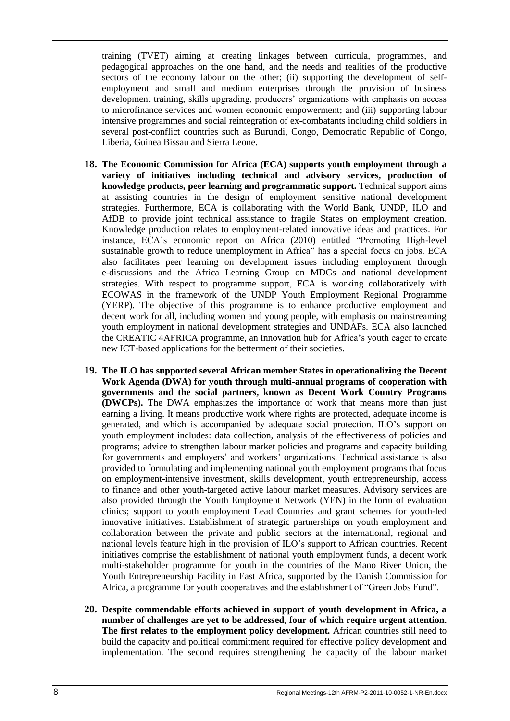training (TVET) aiming at creating linkages between curricula, programmes, and pedagogical approaches on the one hand, and the needs and realities of the productive sectors of the economy labour on the other; (ii) supporting the development of selfemployment and small and medium enterprises through the provision of business development training, skills upgrading, producers' organizations with emphasis on access to microfinance services and women economic empowerment; and (iii) supporting labour intensive programmes and social reintegration of ex-combatants including child soldiers in several post-conflict countries such as Burundi, Congo, Democratic Republic of Congo, Liberia, Guinea Bissau and Sierra Leone.

- **18. The Economic Commission for Africa (ECA) supports youth employment through a variety of initiatives including technical and advisory services, production of knowledge products, peer learning and programmatic support.** Technical support aims at assisting countries in the design of employment sensitive national development strategies. Furthermore, ECA is collaborating with the World Bank, UNDP, ILO and AfDB to provide joint technical assistance to fragile States on employment creation. Knowledge production relates to employment-related innovative ideas and practices. For instance, ECA's economic report on Africa (2010) entitled "Promoting High-level sustainable growth to reduce unemployment in Africa" has a special focus on jobs. ECA also facilitates peer learning on development issues including employment through e-discussions and the Africa Learning Group on MDGs and national development strategies. With respect to programme support, ECA is working collaboratively with ECOWAS in the framework of the UNDP Youth Employment Regional Programme (YERP). The objective of this programme is to enhance productive employment and decent work for all, including women and young people, with emphasis on mainstreaming youth employment in national development strategies and UNDAFs. ECA also launched the CREATIC 4AFRICA programme, an innovation hub for Africa's youth eager to create new ICT-based applications for the betterment of their societies.
- **19. The ILO has supported several African member States in operationalizing the Decent Work Agenda (DWA) for youth through multi-annual programs of cooperation with governments and the social partners, known as Decent Work Country Programs (DWCPs).** The DWA emphasizes the importance of work that means more than just earning a living. It means productive work where rights are protected, adequate income is generated, and which is accompanied by adequate social protection. ILO's support on youth employment includes: data collection, analysis of the effectiveness of policies and programs; advice to strengthen labour market policies and programs and capacity building for governments and employers' and workers' organizations. Technical assistance is also provided to formulating and implementing national youth employment programs that focus on employment-intensive investment, skills development, youth entrepreneurship, access to finance and other youth-targeted active labour market measures. Advisory services are also provided through the Youth Employment Network (YEN) in the form of evaluation clinics; support to youth employment Lead Countries and grant schemes for youth-led innovative initiatives. Establishment of strategic partnerships on youth employment and collaboration between the private and public sectors at the international, regional and national levels feature high in the provision of ILO's support to African countries. Recent initiatives comprise the establishment of national youth employment funds, a decent work multi-stakeholder programme for youth in the countries of the Mano River Union, the Youth Entrepreneurship Facility in East Africa, supported by the Danish Commission for Africa, a programme for youth cooperatives and the establishment of "Green Jobs Fund".
- **20. Despite commendable efforts achieved in support of youth development in Africa, a number of challenges are yet to be addressed, four of which require urgent attention. The first relates to the employment policy development.** African countries still need to build the capacity and political commitment required for effective policy development and implementation. The second requires strengthening the capacity of the labour market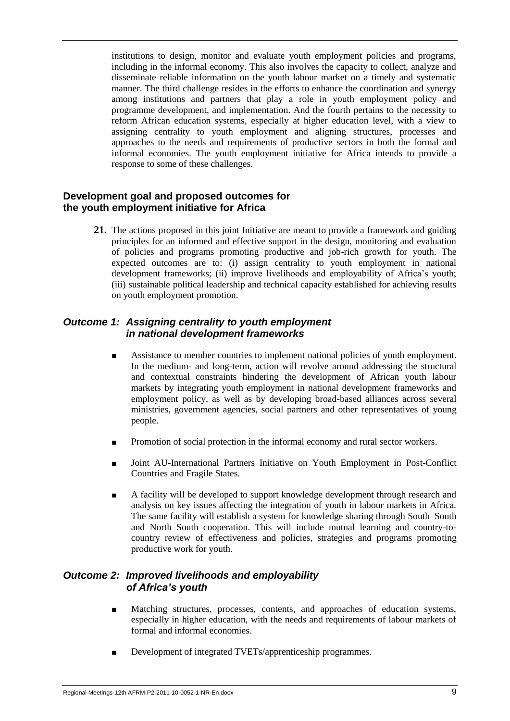institutions to design, monitor and evaluate youth employment policies and programs, including in the informal economy. This also involves the capacity to collect, analyze and disseminate reliable information on the youth labour market on a timely and systematic manner. The third challenge resides in the efforts to enhance the coordination and synergy among institutions and partners that play a role in youth employment policy and programme development, and implementation. And the fourth pertains to the necessity to reform African education systems, especially at higher education level, with a view to assigning centrality to youth employment and aligning structures, processes and approaches to the needs and requirements of productive sectors in both the formal and informal economies. The youth employment initiative for Africa intends to provide a response to some of these challenges.

#### **Development goal and proposed outcomes for the youth employment initiative for Africa**

**21.** The actions proposed in this joint Initiative are meant to provide a framework and guiding principles for an informed and effective support in the design, monitoring and evaluation of policies and programs promoting productive and job-rich growth for youth. The expected outcomes are to: (i) assign centrality to youth employment in national development frameworks; (ii) improve livelihoods and employability of Africa's youth; (iii) sustainable political leadership and technical capacity established for achieving results on youth employment promotion.

#### *Outcome 1: Assigning centrality to youth employment in national development frameworks*

- Assistance to member countries to implement national policies of youth employment. In the medium- and long-term, action will revolve around addressing the structural and contextual constraints hindering the development of African youth labour markets by integrating youth employment in national development frameworks and employment policy, as well as by developing broad-based alliances across several ministries, government agencies, social partners and other representatives of young people.
- Promotion of social protection in the informal economy and rural sector workers.
- Joint AU-International Partners Initiative on Youth Employment in Post-Conflict Countries and Fragile States.
- A facility will be developed to support knowledge development through research and analysis on key issues affecting the integration of youth in labour markets in Africa. The same facility will establish a system for knowledge sharing through South–South and North–South cooperation. This will include mutual learning and country-tocountry review of effectiveness and policies, strategies and programs promoting productive work for youth.

#### *Outcome 2: Improved livelihoods and employability of Africa's youth*

- Matching structures, processes, contents, and approaches of education systems, especially in higher education, with the needs and requirements of labour markets of formal and informal economies.
- Development of integrated TVETs/apprenticeship programmes.